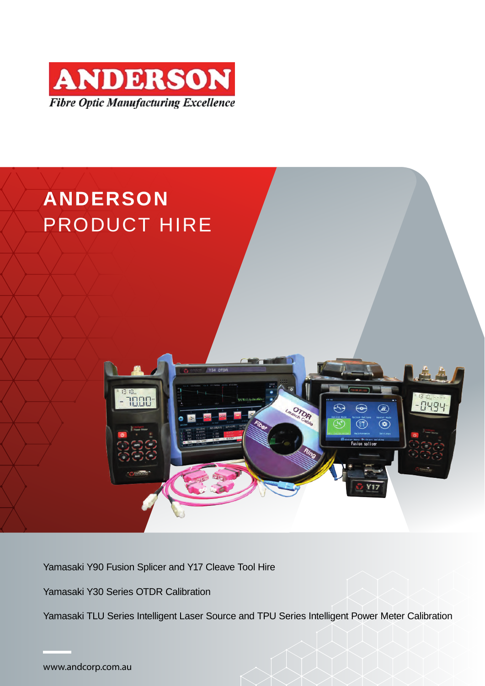



Yamasaki Y90 Fusion Splicer and Y17 Cleave Tool Hire

Yamasaki Y30 Series OTDR Calibration

Yamasaki TLU Series Intelligent Laser Source and TPU Series Intelligent Power Meter Calibration

www.andcorp.com.au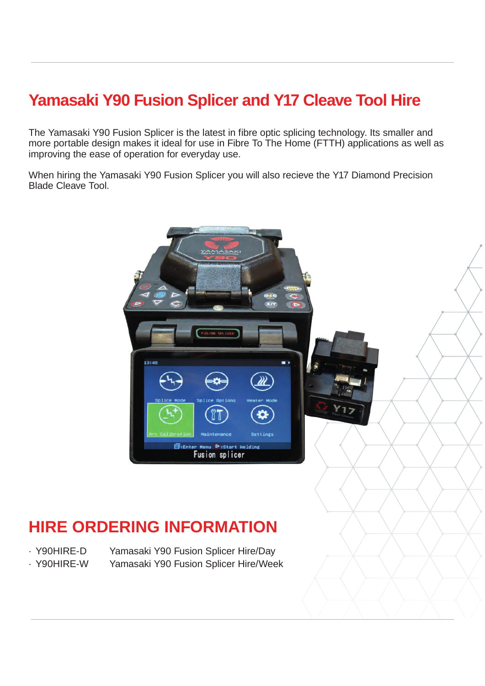## **Yamasaki Y90 Fusion Splicer and Y17 Cleave Tool Hire**

The Yamasaki Y90 Fusion Splicer is the latest in fibre optic splicing technology. Its smaller and more portable design makes it ideal for use in Fibre To The Home (FTTH) applications as well as improving the ease of operation for everyday use.

When hiring the Yamasaki Y90 Fusion Splicer you will also recieve the Y17 Diamond Precision Blade Cleave Tool.



### **HIRE ORDERING INFORMATION**

· Y90HIRE-D Yamasaki Y90 Fusion Splicer Hire/Day · Y90HIRE-W Yamasaki Y90 Fusion Splicer Hire/Week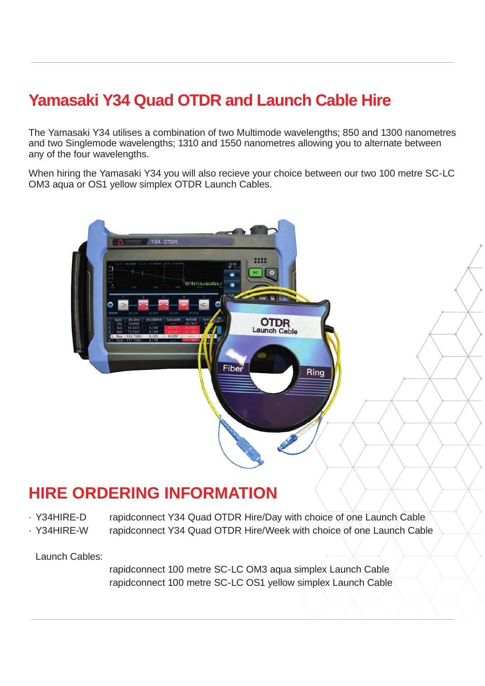# Yamasaki Y34 Quad OTDR and Launch Cable Hire

The Yamasaki Y34 utilises a combination of two Multimode wavelengths; 850 and 1300 nanometres and two Singlemode wavelengths; 1310 and 1550 nanometres allowing you to alternate between any of the four wavelengths.

When hiring the Yamasaki Y34 you will also recieve your choice between our two 100 metre SC-LC OM3 aqua or OS1 yellow simplex OTDR Launch Cables.



### **HIRE ORDERING INFORMATION**

· Y34HIRE-D rapidconnect Y34 Quad OTDR Hire/Day with choice of one Launch Cable

**HIRE ORDERING INFORMATION** · Y34HIRE-W rapidconnect Y34 Quad OTDR Hire/Week with choice of one Launch Cable

Launch Cables: Website Splitch Splitch Splitch Splitch Splitch Splitch Splitch Splitch Splitch Splitch Splitch

rapidconnect 100 metre SC-LC OM3 aqua simplex Launch Cable rapidconnect 100 metre SC-LC OS1 yellow simplex Launch Cable